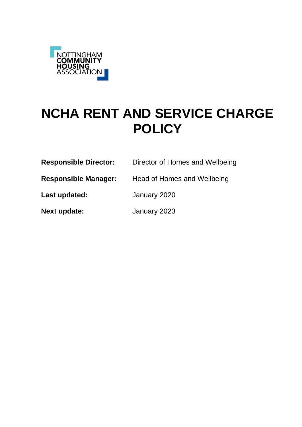

# **NCHA RENT AND SERVICE CHARGE POLICY**

| <b>Responsible Director:</b> | Director of Homes and Wellbeing |
|------------------------------|---------------------------------|
| <b>Responsible Manager:</b>  | Head of Homes and Wellbeing     |
| Last updated:                | January 2020                    |
| <b>Next update:</b>          | January 2023                    |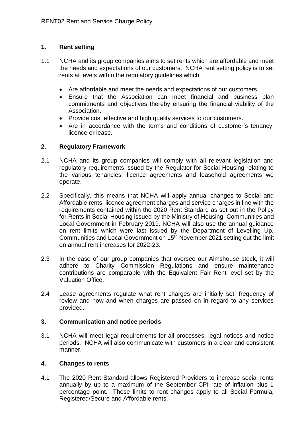## **1. Rent setting**

- 1.1 NCHA and its group companies aims to set rents which are affordable and meet the needs and expectations of our customers. NCHA rent setting policy is to set rents at levels within the regulatory guidelines which:
	- Are affordable and meet the needs and expectations of our customers.
	- Ensure that the Association can meet financial and business plan commitments and objectives thereby ensuring the financial viability of the Association.
	- Provide cost effective and high quality services to our customers.
	- Are in accordance with the terms and conditions of customer's tenancy, licence or lease.

#### **2. Regulatory Framework**

- 2.1 NCHA and its group companies will comply with all relevant legislation and regulatory requirements issued by the Regulator for Social Housing relating to the various tenancies, licence agreements and leasehold agreements we operate.
- 2.2 Specifically, this means that NCHA will apply annual changes to Social and Affordable rents, licence agreement charges and service charges in line with the requirements contained within the 2020 Rent Standard as set out in the Policy for Rents in Social Housing issued by the Ministry of Housing, Communities and Local Government in February 2019. NCHA will also use the annual guidance on rent limits which were last issued by the Department of Levelling Up, Communities and Local Government on 15<sup>th</sup> November 2021 setting out the limit on annual rent increases for 2022-23.
- 2.3 In the case of our group companies that oversee our Almshouse stock, it will adhere to Charity Commission Regulations and ensure maintenance contributions are comparable with the Equivalent Fair Rent level set by the Valuation Office.
- 2.4 Lease agreements regulate what rent charges are initially set, frequency of review and how and when charges are passed on in regard to any services provided.

#### **3. Communication and notice periods**

3.1 NCHA will meet legal requirements for all processes, legal notices and notice periods. NCHA will also communicate with customers in a clear and consistent manner.

#### **4. Changes to rents**

4.1 The 2020 Rent Standard allows Registered Providers to increase social rents annually by up to a maximum of the September CPI rate of inflation plus 1 percentage point. These limits to rent changes apply to all Social Formula, Registered/Secure and Affordable rents.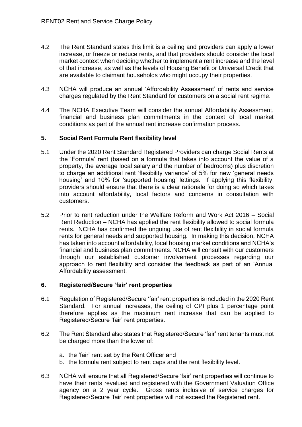- 4.2 The Rent Standard states this limit is a ceiling and providers can apply a lower increase, or freeze or reduce rents, and that providers should consider the local market context when deciding whether to implement a rent increase and the level of that increase, as well as the levels of Housing Benefit or Universal Credit that are available to claimant households who might occupy their properties.
- 4.3 NCHA will produce an annual 'Affordability Assessment' of rents and service charges regulated by the Rent Standard for customers on a social rent regime.
- 4.4 The NCHA Executive Team will consider the annual Affordability Assessment, financial and business plan commitments in the context of local market conditions as part of the annual rent increase confirmation process.

# **5. Social Rent Formula Rent flexibility level**

- 5.1 Under the 2020 Rent Standard Registered Providers can charge Social Rents at the 'Formula' rent (based on a formula that takes into account the value of a property, the average local salary and the number of bedrooms) plus discretion to charge an additional rent 'flexibility variance' of 5% for new 'general needs housing' and 10% for 'supported housing' lettings. If applying this flexibility, providers should ensure that there is a clear rationale for doing so which takes into account affordability, local factors and concerns in consultation with customers.
- 5.2 Prior to rent reduction under the Welfare Reform and Work Act 2016 Social Rent Reduction – NCHA has applied the rent flexibility allowed to social formula rents. NCHA has confirmed the ongoing use of rent flexibility in social formula rents for general needs and supported housing. In making this decision, NCHA has taken into account affordability, local housing market conditions and NCHA's financial and business plan commitments. NCHA will consult with our customers through our established customer involvement processes regarding our approach to rent flexibility and consider the feedback as part of an 'Annual Affordability assessment.

#### **6. Registered/Secure 'fair' rent properties**

- 6.1 Regulation of Registered/Secure 'fair' rent properties is included in the 2020 Rent Standard. For annual increases, the ceiling of CPI plus 1 percentage point therefore applies as the maximum rent increase that can be applied to Registered/Secure 'fair' rent properties.
- 6.2 The Rent Standard also states that Registered/Secure 'fair' rent tenants must not be charged more than the lower of:
	- a. the 'fair' rent set by the Rent Officer and
	- b. the formula rent subject to rent caps and the rent flexibility level.
- 6.3 NCHA will ensure that all Registered/Secure 'fair' rent properties will continue to have their rents revalued and registered with the Government Valuation Office agency on a 2 year cycle. Gross rents inclusive of service charges for Registered/Secure 'fair' rent properties will not exceed the Registered rent.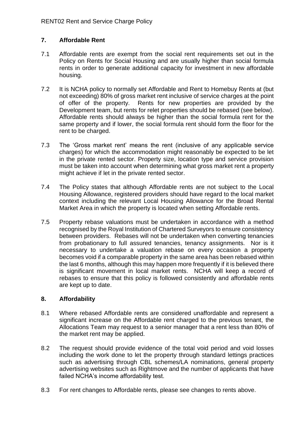# **7. Affordable Rent**

- 7.1 Affordable rents are exempt from the social rent requirements set out in the Policy on Rents for Social Housing and are usually higher than social formula rents in order to generate additional capacity for investment in new affordable housing.
- 7.2 It is NCHA policy to normally set Affordable and Rent to Homebuy Rents at (but not exceeding) 80% of gross market rent inclusive of service charges at the point of offer of the property. Rents for new properties are provided by the Development team, but rents for relet properties should be rebased (see below). Affordable rents should always be higher than the social formula rent for the same property and if lower, the social formula rent should form the floor for the rent to be charged.
- 7.3 The 'Gross market rent' means the rent (inclusive of any applicable service charges) for which the accommodation might reasonably be expected to be let in the private rented sector. Property size, location type and service provision must be taken into account when determining what gross market rent a property might achieve if let in the private rented sector.
- 7.4 The Policy states that although Affordable rents are not subject to the Local Housing Allowance, registered providers should have regard to the local market context including the relevant Local Housing Allowance for the Broad Rental Market Area in which the property is located when setting Affordable rents.
- 7.5 Property rebase valuations must be undertaken in accordance with a method recognised by the Royal Institution of Chartered Surveyors to ensure consistency between providers. Rebases will not be undertaken when converting tenancies from probationary to full assured tenancies, tenancy assignments. Nor is it necessary to undertake a valuation rebase on every occasion a property becomes void if a comparable property in the same area has been rebased within the last 6 months, although this may happen more frequently if it is believed there is significant movement in local market rents. NCHA will keep a record of rebases to ensure that this policy is followed consistently and affordable rents are kept up to date.

# **8. Affordability**

- 8.1 Where rebased Affordable rents are considered unaffordable and represent a significant increase on the Affordable rent charged to the previous tenant, the Allocations Team may request to a senior manager that a rent less than 80% of the market rent may be applied.
- 8.2 The request should provide evidence of the total void period and void losses including the work done to let the property through standard lettings practices such as advertising through CBL schemes/LA nominations, general property advertising websites such as Rightmove and the number of applicants that have failed NCHA's income affordability test.
- 8.3 For rent changes to Affordable rents, please see changes to rents above.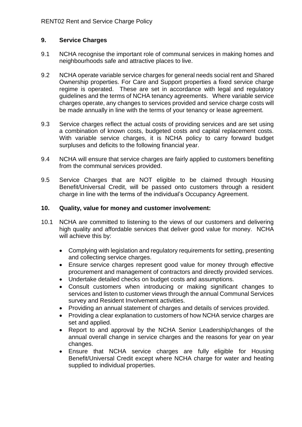# **9. Service Charges**

- 9.1 NCHA recognise the important role of communal services in making homes and neighbourhoods safe and attractive places to live.
- 9.2 NCHA operate variable service charges for general needs social rent and Shared Ownership properties. For Care and Support properties a fixed service charge regime is operated. These are set in accordance with legal and regulatory guidelines and the terms of NCHA tenancy agreements. Where variable service charges operate, any changes to services provided and service charge costs will be made annually in line with the terms of your tenancy or lease agreement.
- 9.3 Service charges reflect the actual costs of providing services and are set using a combination of known costs, budgeted costs and capital replacement costs. With variable service charges, it is NCHA policy to carry forward budget surpluses and deficits to the following financial year.
- 9.4 NCHA will ensure that service charges are fairly applied to customers benefiting from the communal services provided.
- 9.5 Service Charges that are NOT eligible to be claimed through Housing Benefit/Universal Credit, will be passed onto customers through a resident charge in line with the terms of the individual's Occupancy Agreement.

#### **10. Quality, value for money and customer involvement:**

- 10.1 NCHA are committed to listening to the views of our customers and delivering high quality and affordable services that deliver good value for money. NCHA will achieve this by:
	- Complying with legislation and regulatory requirements for setting, presenting and collecting service charges.
	- Ensure service charges represent good value for money through effective procurement and management of contractors and directly provided services.
	- Undertake detailed checks on budget costs and assumptions.
	- Consult customers when introducing or making significant changes to services and listen to customer views through the annual Communal Services survey and Resident Involvement activities.
	- Providing an annual statement of charges and details of services provided.
	- Providing a clear explanation to customers of how NCHA service charges are set and applied.
	- Report to and approval by the NCHA Senior Leadership/changes of the annual overall change in service charges and the reasons for year on year changes.
	- Ensure that NCHA service charges are fully eligible for Housing Benefit/Universal Credit except where NCHA charge for water and heating supplied to individual properties.